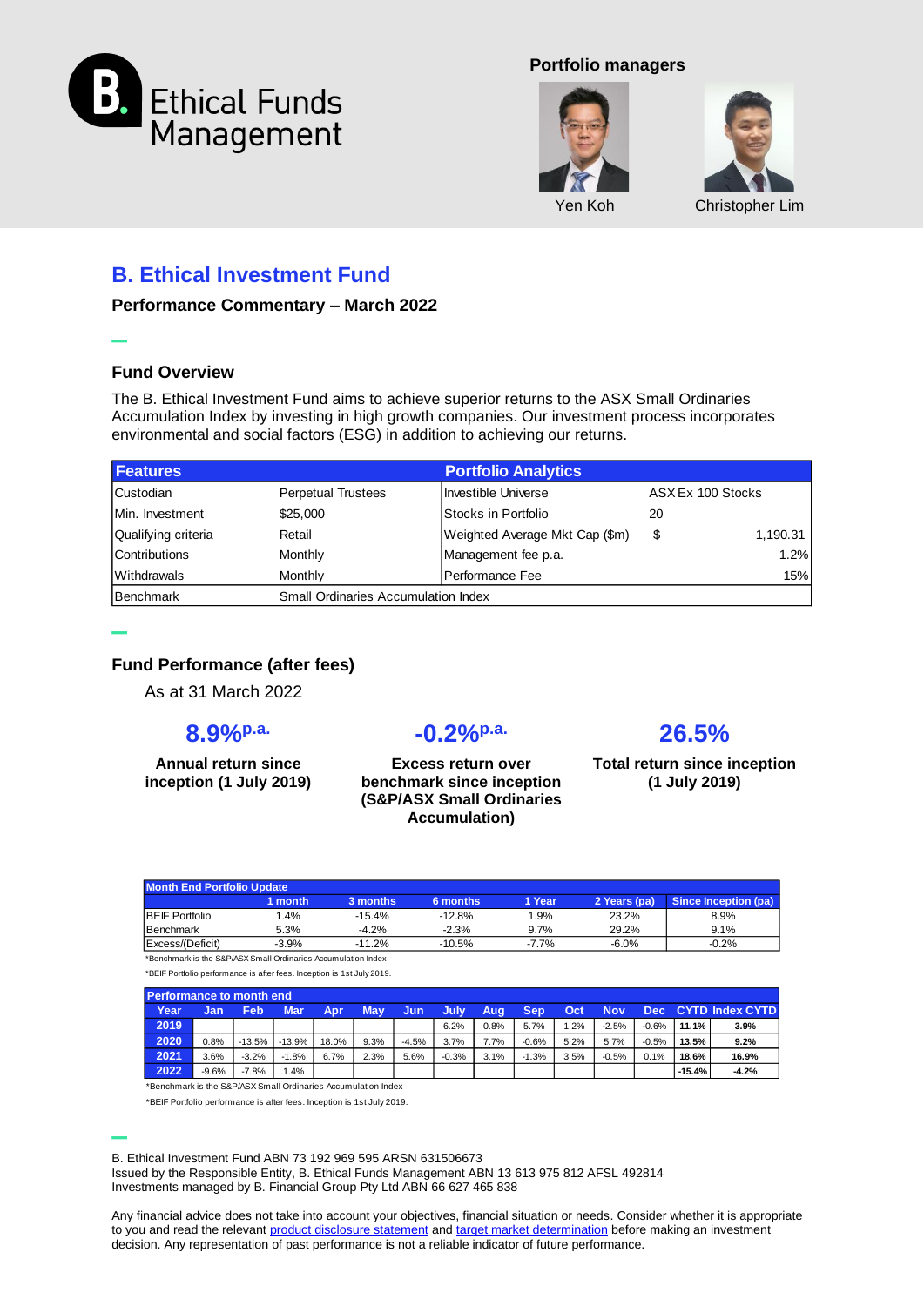

#### **Portfolio managers**





# **B. Ethical Investment Fund**

**Performance Commentary – March 2022**

### **Fund Overview**

**–**

**–**

The B. Ethical Investment Fund aims to achieve superior returns to the ASX Small Ordinaries Accumulation Index by investing in high growth companies. Our investment process incorporates environmental and social factors (ESG) in addition to achieving our returns.

| <b>Features</b>     |                           | <b>Portfolio Analytics</b>                 |                   |          |  |  |  |  |  |
|---------------------|---------------------------|--------------------------------------------|-------------------|----------|--|--|--|--|--|
| Custodian           | <b>Perpetual Trustees</b> | Investible Universe                        | ASX Ex 100 Stocks |          |  |  |  |  |  |
| Min. Investment     | \$25,000                  | IStocks in Portfolio                       | 20                |          |  |  |  |  |  |
| Qualifying criteria | Retail                    | Weighted Average Mkt Cap (\$m)             | \$                | 1,190.31 |  |  |  |  |  |
| Contributions       | Monthly                   | Management fee p.a.                        |                   | 1.2%     |  |  |  |  |  |
| Withdrawals         | Monthly                   | Performance Fee                            |                   | 15%      |  |  |  |  |  |
| Benchmark           |                           | <b>Small Ordinaries Accumulation Index</b> |                   |          |  |  |  |  |  |

## **Fund Performance (after fees)**

As at 31 March 2022

## **8.9%p.a.**

**Annual return since inception (1 July 2019)**

# **-0.2%p.a.**

**Excess return over benchmark since inception (S&P/ASX Small Ordinaries Accumulation)**

# **26.5%**

**Total return since inception (1 July 2019)**

| Month End Portfolio Update |         |          |          |          |              |                      |  |  |  |
|----------------------------|---------|----------|----------|----------|--------------|----------------------|--|--|--|
|                            | l month | 3 months | 6 months | 1 Year   | 2 Years (pa) | Since Inception (pa) |  |  |  |
| <b>BEIF Portfolio</b>      | $4\%$   | $-15.4%$ | $-12.8%$ | 1.9%     | 23.2%        | 8.9%                 |  |  |  |
| Benchmark                  | 5.3%    | $-4.2%$  | $-2.3%$  | 9.7%     | 29.2%        | 9.1%                 |  |  |  |
| Excess/(Deficit)           | $-3.9%$ | $-11.2%$ | $-10.5%$ | $-7.7\%$ | $-6.0\%$     | $-0.2%$              |  |  |  |

\*Benchmark is the S&P/ASX Small Ordinaries Accumulation Index

\*BEIF Portfolio performance is after fees. Inception is 1st July 2019.

| Performance to month end                                      |         |          |          |       |      |         |             |      |         |      |         |         |          |                        |
|---------------------------------------------------------------|---------|----------|----------|-------|------|---------|-------------|------|---------|------|---------|---------|----------|------------------------|
| Year                                                          | Jan     | Feb      | Mar.     | Apr   | May  | Jun     | <b>July</b> | Aug  | Sep     | Oct  | Nov     | Dec 1   |          | <b>CYTD Index CYTD</b> |
| 2019                                                          |         |          |          |       |      |         | 6.2%        | 0.8% | 5.7%    | 1.2% | $-2.5%$ | $-0.6%$ | 11.1%    | 3.9%                   |
| 2020                                                          | 0.8%    | $-13.5%$ | $-13.9%$ | 18.0% | 9.3% | $-4.5%$ | 3.7%        | 7.7% | $-0.6%$ | 5.2% | 5.7%    | $-0.5%$ | 13.5%    | 9.2%                   |
| 2021                                                          | 3.6%    | $-3.2%$  | $-1.8%$  | 6.7%  | 2.3% | 5.6%    | $-0.3%$     | 3.1% | $-1.3%$ | 3.5% | $-0.5%$ | 0.1%    | 18.6%    | 16.9%                  |
| 2022                                                          | $-9.6%$ | $-7.8%$  | .4%      |       |      |         |             |      |         |      |         |         | $-15.4%$ | $-4.2%$                |
| *Benchmark is the S&D/ASY Small Ordinaries Accumulation Index |         |          |          |       |      |         |             |      |         |      |         |         |          |                        |

\*BEIF Portfolio performance is after fees. Inception is 1st July 2019.

**–** B. Ethical Investment Fund ABN 73 192 969 595 ARSN 631506673

Issued by the Responsible Entity, B. Ethical Funds Management ABN 13 613 975 812 AFSL 492814 Investments managed by B. Financial Group Pty Ltd ABN 66 627 465 838

Any financial advice does not take into account your objectives, financial situation or needs. Consider whether it is appropriate to you and read the relevant [product disclosure statement](http://www.bethical.com.au/docs/PDS.pdf) and [target market determination](http://www.bethical.com.au/docs/TMD.pdf) before making an investment decision. Any representation of past performance is not a reliable indicator of future performance.